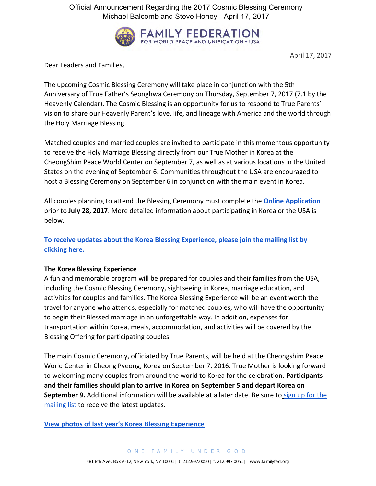Official Announcement Regarding the 2017 Cosmic Blessing Ceremony Michael Balcomb and Steve Honey - April 17, 2017



April 17, 2017

Dear Leaders and Families,

The upcoming Cosmic Blessing Ceremony will take place in conjunction with the 5th Anniversary of True Father's Seonghwa Ceremony on Thursday, September 7, 2017 (7.1 by the Heavenly Calendar). The Cosmic Blessing is an opportunity for us to respond to True Parents' vision to share our Heavenly Parent's love, life, and lineage with America and the world through the Holy Marriage Blessing.

Matched couples and married couples are invited to participate in this momentous opportunity to receive the Holy Marriage Blessing directly from our True Mother in Korea at the CheongShim Peace World Center on September 7, as well as at various locations in the United States on the evening of September 6. Communities throughout the USA are encouraged to host a Blessing Ceremony on September 6 in conjunction with the main event in Korea.

All couples planning to attend the Blessing Ceremony must complete the **Online Application** prior to **July 28, 2017**. More detailed information about participating in Korea or the USA is below.

**To receive updates about the Korea Blessing Experience, please join the mailing list by clicking here.** 

# **The Korea Blessing Experience**

A fun and memorable program will be prepared for couples and their families from the USA, including the Cosmic Blessing Ceremony, sightseeing in Korea, marriage education, and activities for couples and families. The Korea Blessing Experience will be an event worth the travel for anyone who attends, especially for matched couples, who will have the opportunity to begin their Blessed marriage in an unforgettable way. In addition, expenses for transportation within Korea, meals, accommodation, and activities will be covered by the Blessing Offering for participating couples.

The main Cosmic Ceremony, officiated by True Parents, will be held at the Cheongshim Peace World Center in Cheong Pyeong, Korea on September 7, 2016. True Mother is looking forward to welcoming many couples from around the world to Korea for the celebration. **Participants and their families should plan to arrive in Korea on September 5 and depart Korea on September 9.** Additional information will be available at a later date. Be sure to sign up for the mailing list to receive the latest updates.

**View photos of last year's Korea Blessing Experience**